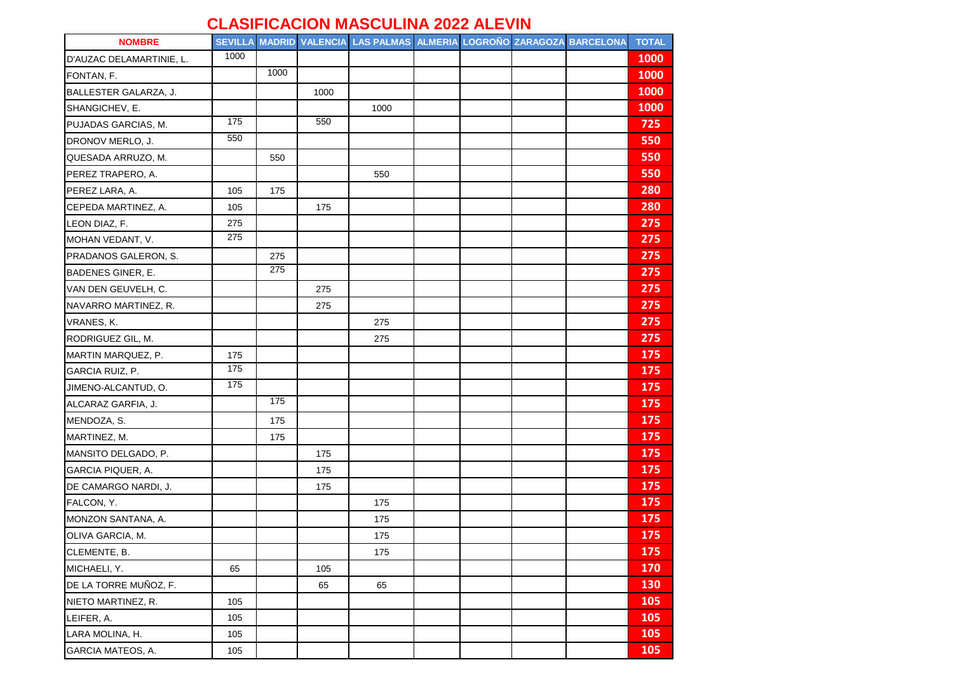## **CLASIFICACION MASCULINA 2022 ALEVIN**

| <b>NOMBRE</b>            |      |      |      | SEVILLA MADRID VALENCIA LAS PALMAS ALMERIA LOGROÑO ZARAGOZA BARCELONA |  |  | <b>TOTAL</b> |
|--------------------------|------|------|------|-----------------------------------------------------------------------|--|--|--------------|
| D'AUZAC DELAMARTINIE, L. | 1000 |      |      |                                                                       |  |  | 1000         |
| FONTAN, F.               |      | 1000 |      |                                                                       |  |  | 1000         |
| BALLESTER GALARZA, J.    |      |      | 1000 |                                                                       |  |  | 1000         |
| SHANGICHEV, E.           |      |      |      | 1000                                                                  |  |  | 1000         |
| PUJADAS GARCIAS, M.      | 175  |      | 550  |                                                                       |  |  | 725          |
| DRONOV MERLO, J.         | 550  |      |      |                                                                       |  |  | 550          |
| QUESADA ARRUZO, M.       |      | 550  |      |                                                                       |  |  | 550          |
| PEREZ TRAPERO, A.        |      |      |      | 550                                                                   |  |  | 550          |
| PEREZ LARA, A.           | 105  | 175  |      |                                                                       |  |  | 280          |
| CEPEDA MARTINEZ, A.      | 105  |      | 175  |                                                                       |  |  | 280          |
| LEON DIAZ, F.            | 275  |      |      |                                                                       |  |  | 275          |
| MOHAN VEDANT, V.         | 275  |      |      |                                                                       |  |  | 275          |
| PRADANOS GALERON, S.     |      | 275  |      |                                                                       |  |  | 275          |
| <b>BADENES GINER, E.</b> |      | 275  |      |                                                                       |  |  | 275          |
| VAN DEN GEUVELH, C.      |      |      | 275  |                                                                       |  |  | 275          |
| NAVARRO MARTINEZ, R.     |      |      | 275  |                                                                       |  |  | 275          |
| VRANES, K.               |      |      |      | 275                                                                   |  |  | 275          |
| RODRIGUEZ GIL, M.        |      |      |      | 275                                                                   |  |  | 275          |
| MARTIN MARQUEZ, P.       | 175  |      |      |                                                                       |  |  | 175          |
| GARCIA RUIZ, P.          | 175  |      |      |                                                                       |  |  | 175          |
| JIMENO-ALCANTUD, O.      | 175  |      |      |                                                                       |  |  | 175          |
| ALCARAZ GARFIA, J.       |      | 175  |      |                                                                       |  |  | 175          |
| MENDOZA, S.              |      | 175  |      |                                                                       |  |  | 175          |
| MARTINEZ, M.             |      | 175  |      |                                                                       |  |  | 175          |
| MANSITO DELGADO, P.      |      |      | 175  |                                                                       |  |  | 175          |
| GARCIA PIQUER, A.        |      |      | 175  |                                                                       |  |  | 175          |
| DE CAMARGO NARDI, J.     |      |      | 175  |                                                                       |  |  | 175          |
| FALCON, Y.               |      |      |      | 175                                                                   |  |  | 175          |
| MONZON SANTANA, A.       |      |      |      | 175                                                                   |  |  | 175          |
| OLIVA GARCIA, M.         |      |      |      | 175                                                                   |  |  | 175          |
| CLEMENTE, B.             |      |      |      | 175                                                                   |  |  | 175          |
| MICHAELI, Y.             | 65   |      | 105  |                                                                       |  |  | 170          |
| DE LA TORRE MUÑOZ, F.    |      |      | 65   | 65                                                                    |  |  | 130          |
| NIETO MARTINEZ, R.       | 105  |      |      |                                                                       |  |  | 105          |
| LEIFER, A.               | 105  |      |      |                                                                       |  |  | 105          |
| LARA MOLINA, H.          | 105  |      |      |                                                                       |  |  | 105          |
| GARCIA MATEOS, A.        | 105  |      |      |                                                                       |  |  | 105          |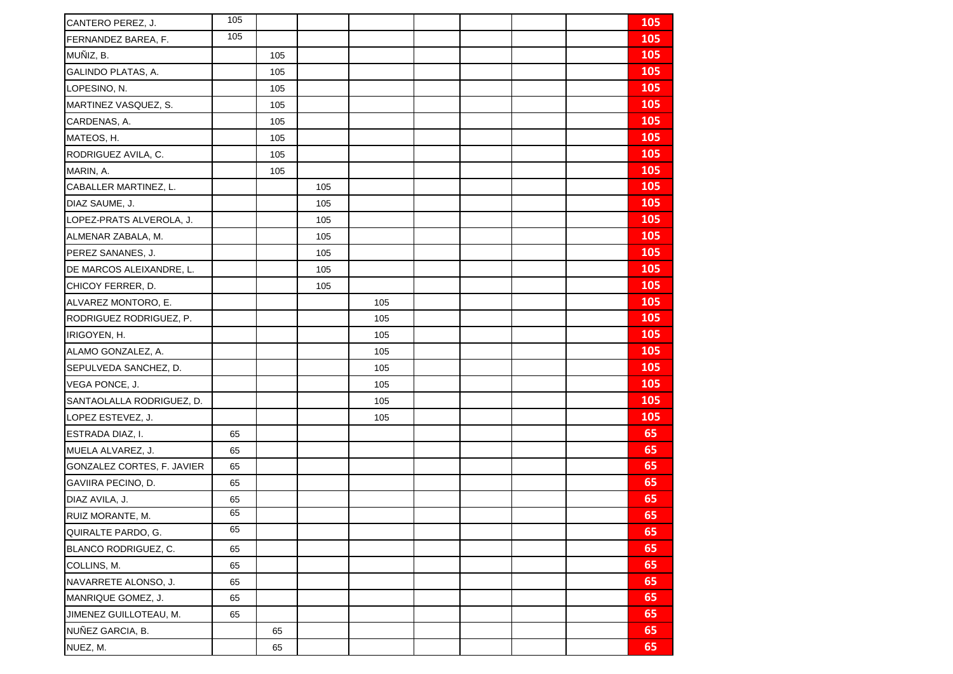| CANTERO PEREZ, J.          | 105 |     |     |     |  |  | 105        |
|----------------------------|-----|-----|-----|-----|--|--|------------|
| FERNANDEZ BAREA, F.        | 105 |     |     |     |  |  | 105        |
| MUÑIZ, B.                  |     | 105 |     |     |  |  | 105        |
| GALINDO PLATAS, A.         |     | 105 |     |     |  |  | 105        |
| LOPESINO, N.               |     | 105 |     |     |  |  | 105        |
| MARTINEZ VASQUEZ, S.       |     | 105 |     |     |  |  | 105        |
| CARDENAS, A.               |     | 105 |     |     |  |  | 105        |
| MATEOS, H.                 |     | 105 |     |     |  |  | 105        |
| RODRIGUEZ AVILA, C.        |     | 105 |     |     |  |  | 105        |
| MARIN, A.                  |     | 105 |     |     |  |  | <b>105</b> |
| CABALLER MARTINEZ, L.      |     |     | 105 |     |  |  | 105        |
| DIAZ SAUME, J.             |     |     | 105 |     |  |  | 105        |
| LOPEZ-PRATS ALVEROLA, J.   |     |     | 105 |     |  |  | 105        |
| ALMENAR ZABALA, M.         |     |     | 105 |     |  |  | 105        |
| PEREZ SANANES, J.          |     |     | 105 |     |  |  | 105        |
| DE MARCOS ALEIXANDRE, L.   |     |     | 105 |     |  |  | 105        |
| CHICOY FERRER, D.          |     |     | 105 |     |  |  | <b>105</b> |
| ALVAREZ MONTORO, E.        |     |     |     | 105 |  |  | 105        |
| RODRIGUEZ RODRIGUEZ, P.    |     |     |     | 105 |  |  | 105        |
| IRIGOYEN, H.               |     |     |     | 105 |  |  | 105        |
| ALAMO GONZALEZ, A.         |     |     |     | 105 |  |  | 105        |
| SEPULVEDA SANCHEZ, D.      |     |     |     | 105 |  |  | <b>105</b> |
| VEGA PONCE, J.             |     |     |     | 105 |  |  | 105        |
| SANTAOLALLA RODRIGUEZ, D.  |     |     |     | 105 |  |  | 105        |
| LOPEZ ESTEVEZ, J.          |     |     |     | 105 |  |  | 105        |
| ESTRADA DIAZ, I.           | 65  |     |     |     |  |  | 65         |
| MUELA ALVAREZ, J.          | 65  |     |     |     |  |  | 65         |
| GONZALEZ CORTES, F. JAVIER | 65  |     |     |     |  |  | 65         |
| GAVIIRA PECINO, D.         | 65  |     |     |     |  |  | 65         |
| DIAZ AVILA, J.             | 65  |     |     |     |  |  | 65         |
| RUIZ MORANTE, M.           | 65  |     |     |     |  |  | 65         |
| QUIRALTE PARDO, G.         | 65  |     |     |     |  |  | 65         |
| BLANCO RODRIGUEZ, C.       | 65  |     |     |     |  |  | 65         |
| COLLINS, M.                | 65  |     |     |     |  |  | 65         |
| NAVARRETE ALONSO, J.       | 65  |     |     |     |  |  | 65         |
| MANRIQUE GOMEZ, J.         | 65  |     |     |     |  |  | 65         |
| JIMENEZ GUILLOTEAU, M.     | 65  |     |     |     |  |  | 65         |
| NUÑEZ GARCIA, B.           |     | 65  |     |     |  |  | 65         |
| NUEZ, M.                   |     | 65  |     |     |  |  | 65         |